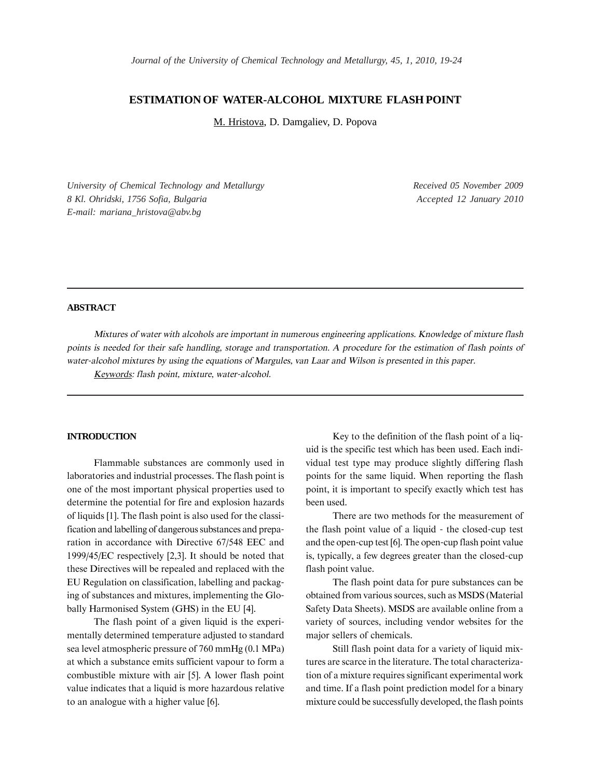# **ESTIMATION OF WATER-ALCOHOL MIXTURE FLASH POINT**

M. Hristova, D. Damgaliev, D. Popova

*University of Chemical Technology and Metallurgy 8 Kl. Ohridski, 1756 Sofia, Bulgaria E-mail: mariana\_hristova@abv.bg*

*Received 05 November 2009 Accepted 12 January 2010*

## **ABSTRACT**

Mixtures of water with alcohols are important in numerous engineering applications. Knowledge of mixture flash points is needed for their safe handling, storage and transportation. A procedure for the estimation of flash points of water-alcohol mixtures by using the equations of Margules, van Laar and Wilson is presented in this paper.

Keywords: flash point, mixture, water-alcohol.

#### **INTRODUCTION**

Flammable substances are commonly used in laboratories and industrial processes. The flash point is one of the most important physical properties used to determine the potential for fire and explosion hazards of liquids [1]. The flash point is also used for the classification and labelling of dangerous substances and preparation in accordance with Directive 67/548 EEC and  $1999/45/EC$  respectively [2,3]. It should be noted that these Directives will be repealed and replaced with the EU Regulation on classification, labelling and packaging of substances and mixtures, implementing the Globally Harmonised System (GHS) in the EU [4].

The flash point of a given liquid is the experimentally determined temperature adjusted to standard sea level atmospheric pressure of 760 mmHg (0.1 MPa) at which a substance emits sufficient vapour to form a combustible mixture with air [5]. A lower flash point value indicates that a liquid is more hazardous relative to an analogue with a higher value [6].

Key to the definition of the flash point of a liquid is the specific test which has been used. Each individual test type may produce slightly differing flash points for the same liquid. When reporting the flash point, it is important to specify exactly which test has been used.

There are two methods for the measurement of the flash point value of a liquid - the closed-cup test and the open-cup test [6]. The open-cup flash point value is, typically, a few degrees greater than the closed-cup flash point value.

The flash point data for pure substances can be obtained from various sources, such as MSDS (Material Safety Data Sheets). MSDS are available online from a variety of sources, including vendor websites for the major sellers of chemicals.

Still flash point data for a variety of liquid mixtures are scarce in the literature. The total characterization of a mixture requires significant experimental work and time. If a flash point prediction model for a binary mixture could be successfully developed, the flash points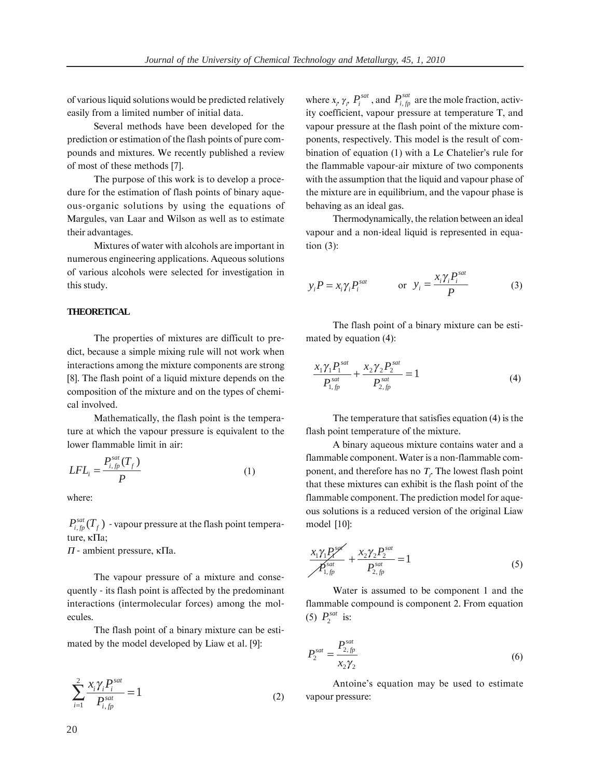of various liquid solutions would be predicted relatively easily from a limited number of initial data.

Several methods have been developed for the prediction or estimation of the flash points of pure compounds and mixtures. We recently published a review of most of these methods [7].

The purpose of this work is to develop a procedure for the estimation of flash points of binary aqueous-organic solutions by using the equations of Margules, van Laar and Wilson as well as to estimate their advantages.

Mixtures of water with alcohols are important in numerous engineering applications. Aqueous solutions of various alcohols were selected for investigation in this study.

## **THEORETICAL**

The properties of mixtures are difficult to predict, because a simple mixing rule will not work when interactions among the mixture components are strong [8]. The flash point of a liquid mixture depends on the composition of the mixture and on the types of chemical involved.

Mathematically, the flash point is the temperature at which the vapour pressure is equivalent to the lower flammable limit in air:

$$
LFL_i = \frac{P_{i,fp}^{sat}(T_f)}{P}
$$
 (1)

where:

 $P_{i, fp}^{sat}(T_f)$  - vapour pressure at the flash point temperature, ĸ∏a;

 $\Pi$  - ambient pressure,  $\kappa \Pi$ a.

The vapour pressure of a mixture and consequently - its flash point is affected by the predominant interactions (intermolecular forces) among the molecules.

The flash point of a binary mixture can be estimated by the model developed by Liaw et al. [9]:

$$
\sum_{i=1}^{2} \frac{x_i \gamma_i P_i^{sat}}{P_{i,fp}^{sat}} = 1
$$
 (2)

where  $x_p \gamma_p P_i^{sat}$ , and  $P_{i,fp}^{sat}$  are the mole fraction, activity coefficient, vapour pressure at temperature T, and vapour pressure at the flash point of the mixture components, respectively. This model is the result of combination of equation (1) with a Le Chatelier's rule for the flammable vapour-air mixture of two components with the assumption that the liquid and vapour phase of the mixture are in equilibrium, and the vapour phase is behaving as an ideal gas.

Thermodynamically, the relation between an ideal vapour and a non-ideal liquid is represented in equation  $(3)$ :

$$
y_i P = x_i \gamma_i P_i^{sat}
$$
 or  $y_i = \frac{x_i \gamma_i P_i^{sat}}{P}$  (3)

The flash point of a binary mixture can be estimated by equation (4):

$$
\frac{x_1 \gamma_1 P_1^{sat}}{P_{1,fp}^{sat}} + \frac{x_2 \gamma_2 P_2^{sat}}{P_{2,fp}^{sat}} = 1
$$
\n(4)

The temperature that satisfies equation (4) is the flash point temperature of the mixture.

A binary aqueous mixture contains water and a flammable component. Water is a non-flammable component, and therefore has no  $T_f$ . The lowest flash point that these mixtures can exhibit is the flash point of the flammable component. The prediction model for aqueous solutions is a reduced version of the original Liaw model [10]:

$$
\frac{x_1 \gamma_1 P_1^{sq}}{P_{1,fp}^{sat}} + \frac{x_2 \gamma_2 P_2^{sat}}{P_{2,fp}^{sat}} = 1
$$
\n(5)

Water is assumed to be component 1 and the flammable compound is component 2. From equation (5)  $P_2^{sat}$  is:

$$
P_2^{sat} = \frac{P_{2,fp}^{sat}}{x_2 \gamma_2} \tag{6}
$$

Antoine's equation may be used to estimate vapour pressure: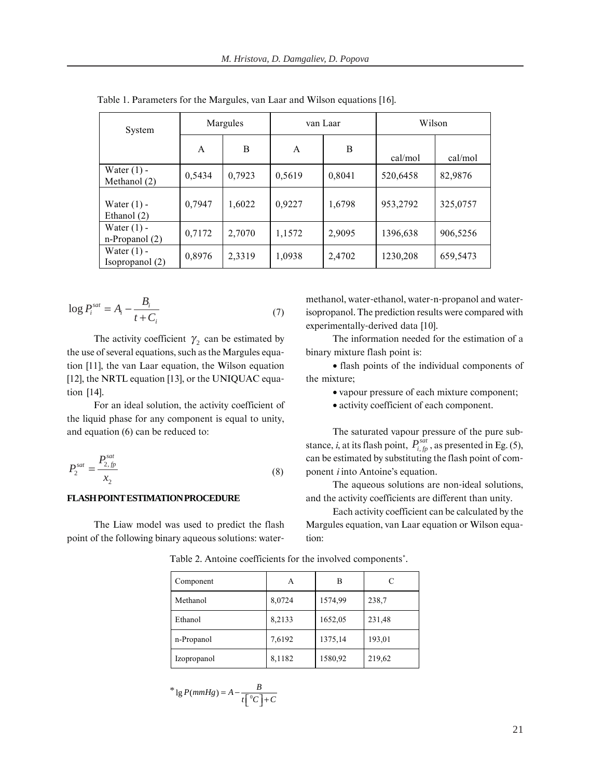| System                               | Margules |        | van Laar |        | Wilson   |          |
|--------------------------------------|----------|--------|----------|--------|----------|----------|
|                                      | A        | B      | A        | B      | cal/mol  | cal/mol  |
| Water $(1)$ -<br>Methanol $(2)$      | 0,5434   | 0,7923 | 0,5619   | 0,8041 | 520,6458 | 82,9876  |
| Water $(1)$ -<br>Ethanol (2)         | 0,7947   | 1,6022 | 0,9227   | 1,6798 | 953,2792 | 325,0757 |
| Water $(1)$ -<br>$n$ -Propanol $(2)$ | 0,7172   | 2,7070 | 1,1572   | 2,9095 | 1396,638 | 906,5256 |
| Water $(1)$ -<br>Isopropanol (2)     | 0,8976   | 2,3319 | 1,0938   | 2,4702 | 1230,208 | 659,5473 |

Table 1. Parameters for the Margules, van Laar and Wilson equations [16].

$$
\log P_i^{sat} = A_i - \frac{B_i}{t + C_i} \tag{7}
$$

The activity coefficient  $\gamma_2$  can be estimated by the use of several equations, such as the Margules equation [11], the van Laar equation, the Wilson equation [12], the NRTL equation [13], or the UNIQUAC equation  $[14]$ .

For an ideal solution, the activity coefficient of the liquid phase for any component is equal to unity, and equation (6) can be reduced to:

$$
P_2^{sat} = \frac{P_{2,fp}^{sat}}{x_2} \tag{8}
$$

### **FLASH POINT ESTIMATION PROCEDURE**

The Liaw model was used to predict the flash point of the following binary aqueous solutions: watermethanol, water-ethanol, water-n-propanol and waterisopropanol. The prediction results were compared with experimentally-derived data [10].

The information needed for the estimation of a binary mixture flash point is:

• flash points of the individual components of the mixture;

• vapour pressure of each mixture component;

• activity coefficient of each component.

The saturated vapour pressure of the pure substance, *i*, at its flash point,  $P_{i,fp}^{sat}$ , as presented in Eg. (5), can be estimated by substituting the flash point of component *i* into Antoine's equation.

The aqueous solutions are non-ideal solutions, and the activity coefficients are different than unity.

Each activity coefficient can be calculated by the Margules equation, van Laar equation or Wilson equation:

| Component   | Α      | в       | C      |
|-------------|--------|---------|--------|
| Methanol    | 8,0724 | 1574,99 | 238,7  |
| Ethanol     | 8,2133 | 1652,05 | 231,48 |
| n-Propanol  | 7,6192 | 1375,14 | 193,01 |
| Izopropanol | 8,1182 | 1580,92 | 219,62 |

Table 2. Antoine coefficients for the involved components<sup>\*</sup>.

$$
e^{k} \lg P(mmHg) = A - \frac{B}{t \left[ {}^{0}C \right] + C}
$$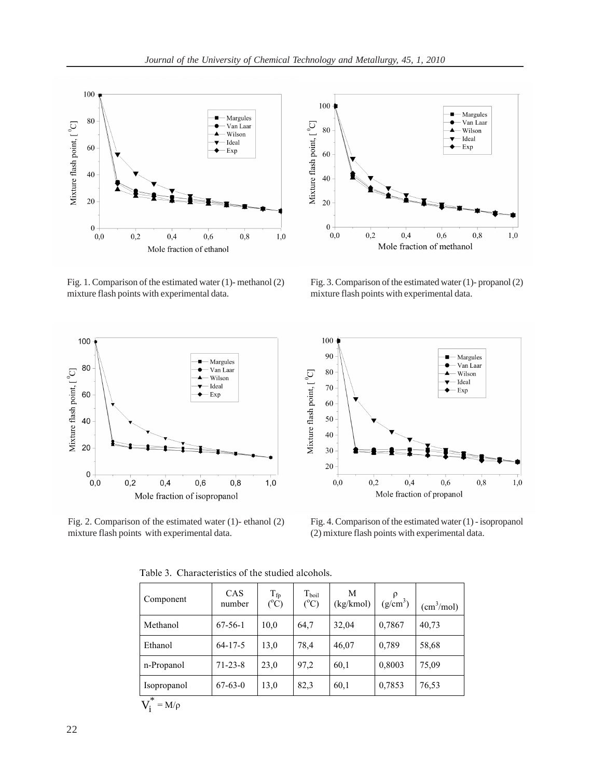

Fig. 1. Comparison of the estimated water (1)- methanol (2) mixture flash points with experimental data.



Fig. 2. Comparison of the estimated water (1)- ethanol (2) mixture flash points with experimental data.



Fig. 3. Comparison of the estimated water (1)- propanol (2) mixture flash points with experimental data.



Fig. 4. Comparison of the estimated water (1) - isopropanol (2) mixture flash points with experimental data.

| Component            | CAS<br>number | $T_{\text{fp}}$<br>$(^{\circ}C)$ | $T_{\text{boil}}$<br>$(^{o}C)$ | M<br>(kg/kmol) | $\rho$<br>$(g/cm^3)$ | (cm <sup>3</sup> /mol) |
|----------------------|---------------|----------------------------------|--------------------------------|----------------|----------------------|------------------------|
| Methanol             | $67-56-1$     | 10,0                             | 64,7                           | 32,04          | 0,7867               | 40,73                  |
| Ethanol              | $64 - 17 - 5$ | 13,0                             | 78,4                           | 46,07          | 0,789                | 58,68                  |
| n-Propanol           | $71 - 23 - 8$ | 23,0                             | 97,2                           | 60,1           | 0,8003               | 75,09                  |
| Isopropanol          | $67-63-0$     | 13,0                             | 82,3                           | 60,1           | 0,7853               | 76,53                  |
| $V_i^*$<br>$=M/\rho$ |               |                                  |                                |                |                      |                        |

Table 3. Characteristics of the studied alcohols.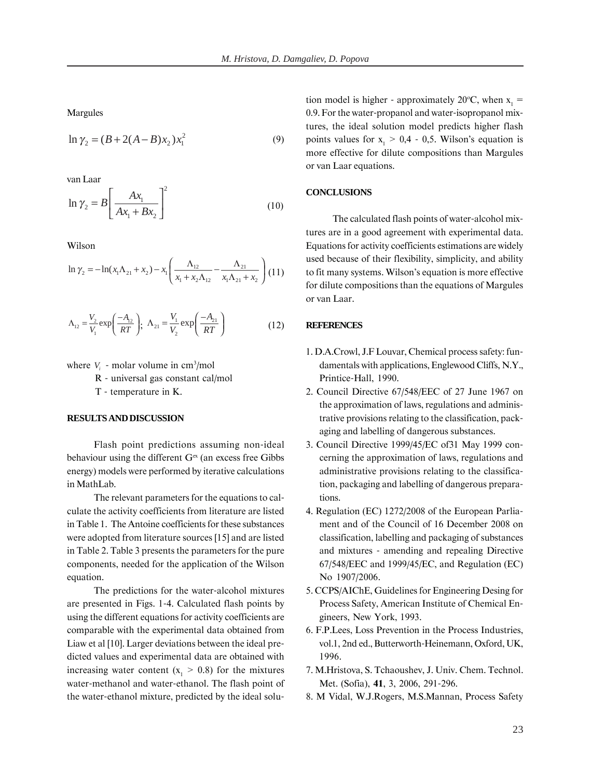Margules

$$
\ln \gamma_2 = (B + 2(A - B)x_2)x_1^2 \tag{9}
$$

van Laar

$$
\ln \gamma_2 = B \left[ \frac{Ax_1}{Ax_1 + Bx_2} \right]^2 \tag{10}
$$

Wilson

$$
\ln \gamma_2 = -\ln(x_1 \Lambda_{21} + x_2) - x_1 \left( \frac{\Lambda_{12}}{x_1 + x_2 \Lambda_{12}} - \frac{\Lambda_{21}}{x_1 \Lambda_{21} + x_2} \right) (11)
$$

$$
\Lambda_{12} = \frac{V_2}{V_1} \exp\left(\frac{-A_{12}}{RT}\right); \ \Lambda_{21} = \frac{V_1}{V_2} \exp\left(\frac{-A_{21}}{RT}\right) \tag{12}
$$

where  $V_i$  - molar volume in cm<sup>3</sup>/mol

R - universal gas constant cal/mol

T - temperature in K.

## **RESULTS AND DISCUSSION**

Flash point predictions assuming non-ideal behaviour using the different  $G<sup>ex</sup>$  (an excess free Gibbs energy) models were performed by iterative calculations in MathLab.

The relevant parameters for the equations to calculate the activity coefficients from literature are listed in Table 1. The Antoine coefficients for these substances were adopted from literature sources [15] and are listed in Table 2. Table 3 presents the parameters for the pure components, needed for the application of the Wilson equation.

The predictions for the water-alcohol mixtures are presented in Figs. 1-4. Calculated flash points by using the different equations for activity coefficients are comparable with the experimental data obtained from Liaw et al [10]. Larger deviations between the ideal predicted values and experimental data are obtained with increasing water content ( $x_1 > 0.8$ ) for the mixtures water-methanol and water-ethanol. The flash point of the water-ethanol mixture, predicted by the ideal solution model is higher - approximately 20 °C, when  $x_1 =$ 0.9. For the water-propanol and water-isopropanol mixtures, the ideal solution model predicts higher flash points values for  $x_1 > 0.4 - 0.5$ . Wilson's equation is more effective for dilute compositions than Margules or van Laar equations.

## **CONCLUSIONS**

The calculated flash points of water-alcohol mixtures are in a good agreement with experimental data. Equations for activity coefficients estimations are widely used because of their flexibility, simplicity, and ability to fit many systems. Wilson's equation is more effective for dilute compositions than the equations of Margules or van Laar.

### **REFERENCES**

- 1. D.A.Crowl, J.F Louvar, Chemical process safety: fundamentals with applications, Englewood Cliffs, N.Y., Printice-Hall, 1990.
- 2. Council Directive 67/548/EEC of 27 June 1967 on the approximation of laws, regulations and administrative provisions relating to the classification, packaging and labelling of dangerous substances.
- 3. Council Directive 1999/45/EC of 31 May 1999 concerning the approximation of laws, regulations and administrative provisions relating to the classification, packaging and labelling of dangerous preparations.
- 4. Regulation (EC) 1272/2008 of the European Parliament and of the Council of 16 December 2008 on classification, labelling and packaging of substances and mixtures - amending and repealing Directive  $67/548/EEC$  and  $1999/45/EC$ , and Regulation (EC) No 1907/2006.
- 5. CCPS/AIChE, Guidelines for Engineering Desing for Process Safety, American Institute of Chemical Engineers, New York, 1993.
- 6. F.P.Lees, Loss Prevention in the Process Industries, vol.1, 2nd ed., Butterworth-Heinemann, Oxford, UK, 1996.
- 7. M.Hristova, S. Tchaoushev, J. Univ. Chem. Technol. Met. (Sofia), 41, 3, 2006, 291-296.
- 8. M Vidal, W.J.Rogers, M.S.Mannan, Process Safety